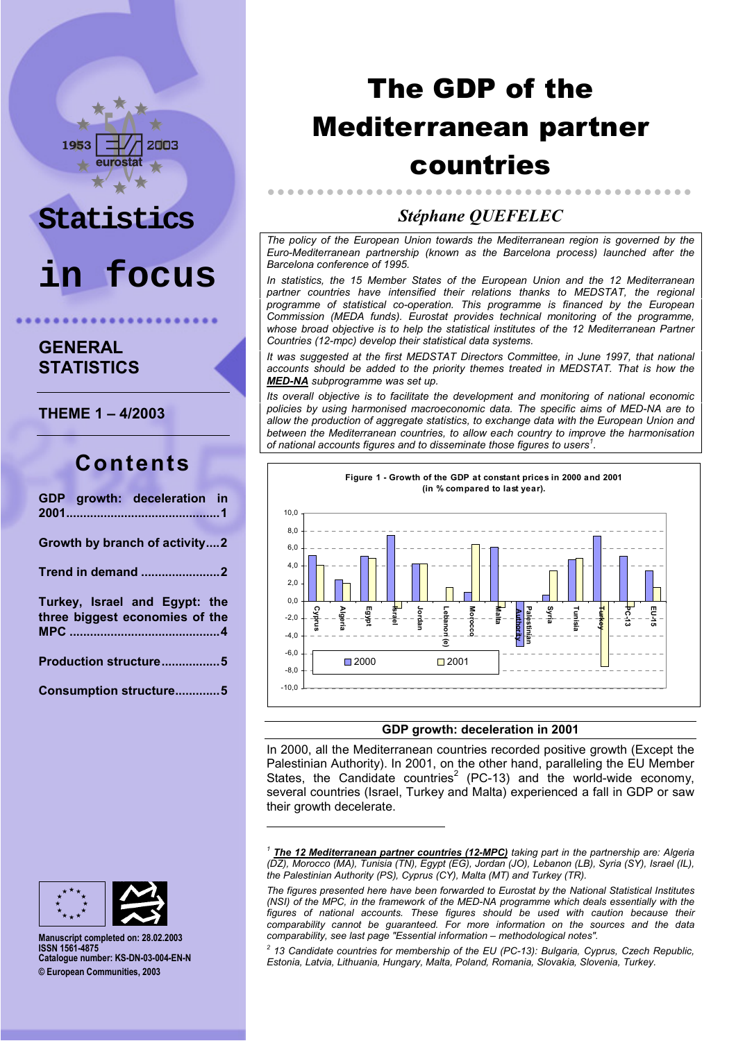# 2003

# **Statistics**

# **in focus**

**GENERAL STATISTICS**

**THEME 1 - 4/2003** 

## **Contents**

| GDP growth: deceleration in                                     |
|-----------------------------------------------------------------|
| Growth by branch of activity2                                   |
|                                                                 |
| Turkey, Israel and Egypt: the<br>three biggest economies of the |
| Production structure5                                           |
| Consumption structure5                                          |

# The GDP of the Mediterranean partner countries

### *StÈphane QUEFELEC*

..............

*The policy of the European Union towards the Mediterranean region is governed by the Euro-Mediterranean partnership (known as the Barcelona process) launched after the Barcelona conference of 1995.*

*In statistics, the 15 Member States of the European Union and the 12 Mediterranean partner countries have intensified their relations thanks to MEDSTAT, the regional programme of statistical co-operation. This programme is financed by the European Commission (MEDA funds). Eurostat provides technical monitoring of the programme, whose broad objective is to help the statistical institutes of the 12 Mediterranean Partner Countries (12-mpc) develop their statistical data systems.*

*It was suggested at the first MEDSTAT Directors Committee, in June 1997, that national accounts should be added to the priority themes treated in MEDSTAT. That is how the MED-NA subprogramme was set up.*

*Its overall objective is to facilitate the development and monitoring of national economic policies by using harmonised macroeconomic data. The specific aims of MED-NA are to allow the production of aggregate statistics, to exchange data with the European Union and between the Mediterranean countries, to allow each country to improve the harmonisation* of national accounts figures and to disseminate those figures to users<sup>1</sup>.



#### **GDP growth: deceleration in 2001**

In 2000, all the Mediterranean countries recorded positive growth (Except the Palestinian Authority). In 2001, on the other hand, paralleling the EU Member States, the Candidate countries<sup>2</sup> (PC-13) and the world-wide economy, several countries (Israel, Turkey and Malta) experienced a fall in GDP or saw their growth decelerate.

*2 13 Candidate countries for membership of the EU (PC-13): Bulgaria, Cyprus, Czech Republic, Estonia, Latvia, Lithuania, Hungary, Malta, Poland, Romania, Slovakia, Slovenia, Turkey.*



**Manuscript completed on: 28.02.2003 ISSN 1561-4875 Catalogue number: KS-DN-03-004-EN-N © European Communities, 2003**

1

*<sup>1</sup> The 12 Mediterranean partner countries (12-MPC) taking part in the partnership are: Algeria (DZ), Morocco (MA), Tunisia (TN), Egypt (EG), Jordan (JO), Lebanon (LB), Syria (SY), Israel (IL), the Palestinian Authority (PS), Cyprus (CY), Malta (MT) and Turkey (TR).*

*The figures presented here have been forwarded to Eurostat by the National Statistical Institutes (NSI) of the MPC, in the framework of the MED-NA programme which deals essentially with the figures of national accounts. These figures should be used with caution because their comparability cannot be guaranteed. For more information on the sources and the data comparability, see last page "Essential information – methodological notes".*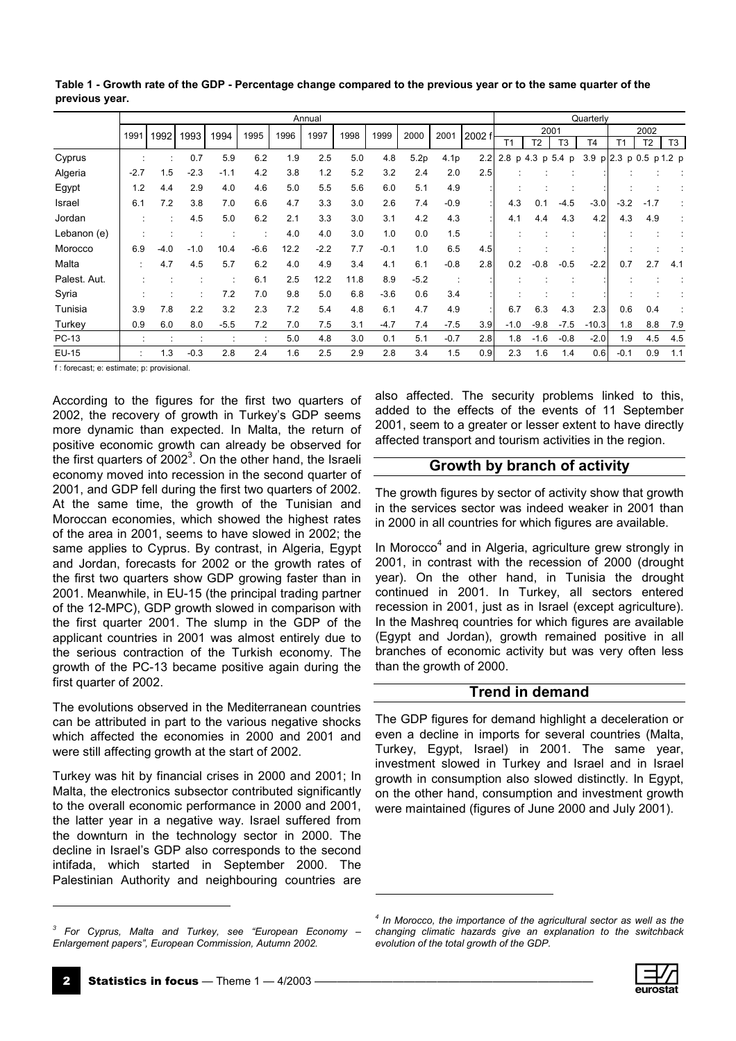|              |        |        |        |        |        |      | Annual |      |        |        |                  |        |                 |                |                | Quarterly      |                     |                |         |
|--------------|--------|--------|--------|--------|--------|------|--------|------|--------|--------|------------------|--------|-----------------|----------------|----------------|----------------|---------------------|----------------|---------|
|              | 1991   | 1992   | 1993   | 1994   | 1995   | 1996 | 1997   | 1998 | 1999   | 2000   | 2001             | 2002 f |                 |                | 2001           |                |                     | 2002           |         |
|              |        |        |        |        |        |      |        |      |        |        |                  |        | T <sub>1</sub>  | T <sub>2</sub> | T <sub>3</sub> | T <sub>4</sub> | T <sub>1</sub>      | T <sub>2</sub> | T3      |
| Cyprus       |        |        | 0.7    | 5.9    | 6.2    | 1.9  | 2.5    | 5.0  | 4.8    | 5.2p   | 4.1 <sub>p</sub> | 2.2    | 2.8 p 4.3 p 5.4 |                | p              |                | 3.9 $p$ 2.3 $p$ 0.5 |                | p 1.2 p |
| Algeria      | $-2.7$ | 1.5    | $-2.3$ | $-1.1$ | 4.2    | 3.8  | 1.2    | 5.2  | 3.2    | 2.4    | 2.0              | 2.5    |                 |                |                |                |                     |                |         |
| Egypt        | 1.2    | 4.4    | 2.9    | 4.0    | 4.6    | 5.0  | 5.5    | 5.6  | 6.0    | 5.1    | 4.9              |        |                 |                |                |                |                     |                |         |
| Israel       | 6.1    | 7.2    | 3.8    | 7.0    | 6.6    | 4.7  | 3.3    | 3.0  | 2.6    | 7.4    | $-0.9$           |        | 4.3             | 0.1            | $-4.5$         | $-3.0$         | $-3.2$              | $-1.7$         |         |
| Jordan       |        |        | 4.5    | 5.0    | 6.2    | 2.1  | 3.3    | 3.0  | 3.1    | 4.2    | 4.3              |        | 4.1             | 4.4            | 4.3            | 4.2            | 4.3                 | 4.9            |         |
| Lebanon (e)  |        |        |        |        |        | 4.0  | 4.0    | 3.0  | 1.0    | 0.0    | 1.5              |        |                 |                |                |                |                     |                |         |
| Morocco      | 6.9    | $-4.0$ | $-1.0$ | 10.4   | $-6.6$ | 12.2 | $-2.2$ | 7.7  | $-0.1$ | 1.0    | 6.5              | 4.5    |                 |                |                |                |                     |                |         |
| Malta        |        | 4.7    | 4.5    | 5.7    | 6.2    | 4.0  | 4.9    | 3.4  | 4.1    | 6.1    | $-0.8$           | 2.8    | 0.2             | $-0.8$         | $-0.5$         | $-2.2$         | 0.7                 | 2.7            | 4.1     |
| Palest. Aut. |        |        |        |        | 6.1    | 2.5  | 12.2   | 11.8 | 8.9    | $-5.2$ |                  |        |                 |                |                |                |                     |                |         |
| Syria        |        |        |        | 7.2    | 7.0    | 9.8  | 5.0    | 6.8  | $-3.6$ | 0.6    | 3.4              |        |                 |                |                |                |                     |                |         |
| Tunisia      | 3.9    | 7.8    | 2.2    | 3.2    | 2.3    | 7.2  | 5.4    | 4.8  | 6.1    | 4.7    | 4.9              |        | 6.7             | 6.3            | 4.3            | 2.3            | 0.6                 | 0.4            |         |
| Turkey       | 0.9    | 6.0    | 8.0    | $-5.5$ | 7.2    | 7.0  | 7.5    | 3.1  | $-4.7$ | 7.4    | $-7.5$           | 3.9    | $-1.0$          | $-9.8$         | $-7.5$         | $-10.3$        | 1.8                 | 8.8            | 7.9     |
| PC-13        |        |        |        |        |        | 5.0  | 4.8    | 3.0  | 0.1    | 5.1    | $-0.7$           | 2.8    | 1.8             | $-1.6$         | $-0.8$         | $-2.0$         | 1.9                 | 4.5            | 4.5     |
| EU-15        |        | 1.3    | $-0.3$ | 2.8    | 2.4    | 1.6  | 2.5    | 2.9  | 2.8    | 3.4    | 1.5              | 0.9    | 2.3             | 1.6            | 1.4            | 0.6            | $-0.1$              | 0.9            | 1.1     |

l

**Table 1 - Growth rate of the GDP - Percentage change compared to the previous year or to the same quarter of the previous year.**

f : forecast; e: estimate; p: provisional.

According to the figures for the first two quarters of 2002, the recovery of growth in Turkey's GDP seems more dynamic than expected. In Malta, the return of positive economic growth can already be observed for the first quarters of 2002 $3$ . On the other hand, the Israeli economy moved into recession in the second quarter of 2001, and GDP fell during the first two quarters of 2002. At the same time, the growth of the Tunisian and Moroccan economies, which showed the highest rates of the area in 2001, seems to have slowed in 2002; the same applies to Cyprus. By contrast, in Algeria, Egypt and Jordan, forecasts for 2002 or the growth rates of the first two quarters show GDP growing faster than in 2001. Meanwhile, in EU-15 (the principal trading partner of the 12-MPC), GDP growth slowed in comparison with the first quarter 2001. The slump in the GDP of the applicant countries in 2001 was almost entirely due to the serious contraction of the Turkish economy. The growth of the PC-13 became positive again during the first quarter of 2002.

The evolutions observed in the Mediterranean countries can be attributed in part to the various negative shocks which affected the economies in 2000 and 2001 and were still affecting growth at the start of 2002.

Turkey was hit by financial crises in 2000 and 2001; In Malta, the electronics subsector contributed significantly to the overall economic performance in 2000 and 2001, the latter year in a negative way. Israel suffered from the downturn in the technology sector in 2000. The decline in Israel's GDP also corresponds to the second intifada, which started in September 2000. The Palestinian Authority and neighbouring countries are also affected. The security problems linked to this, added to the effects of the events of 11 September 2001, seem to a greater or lesser extent to have directly affected transport and tourism activities in the region.

### **Growth by branch of activity**

The growth figures by sector of activity show that growth in the services sector was indeed weaker in 2001 than in 2000 in all countries for which figures are available.

In Morocco<sup>4</sup> and in Algeria, agriculture grew strongly in 2001, in contrast with the recession of 2000 (drought year). On the other hand, in Tunisia the drought continued in 2001. In Turkey, all sectors entered recession in 2001, just as in Israel (except agriculture). In the Mashreq countries for which figures are available (Egypt and Jordan), growth remained positive in all branches of economic activity but was very often less than the growth of 2000.

#### **Trend in demand**

The GDP figures for demand highlight a deceleration or even a decline in imports for several countries (Malta, Turkey, Egypt, Israel) in 2001. The same year, investment slowed in Turkey and Israel and in Israel growth in consumption also slowed distinctly. In Egypt, on the other hand, consumption and investment growth were maintained (figures of June 2000 and July 2001).

1



<sup>&</sup>lt;sup>3</sup> For Cyprus, Malta and Turkey, see "European Economy – *Enlargement papersî, European Commission, Autumn 2002.*

*<sup>4</sup> In Morocco, the importance of the agricultural sector as well as the changing climatic hazards give an explanation to the switchback evolution of the total growth of the GDP.*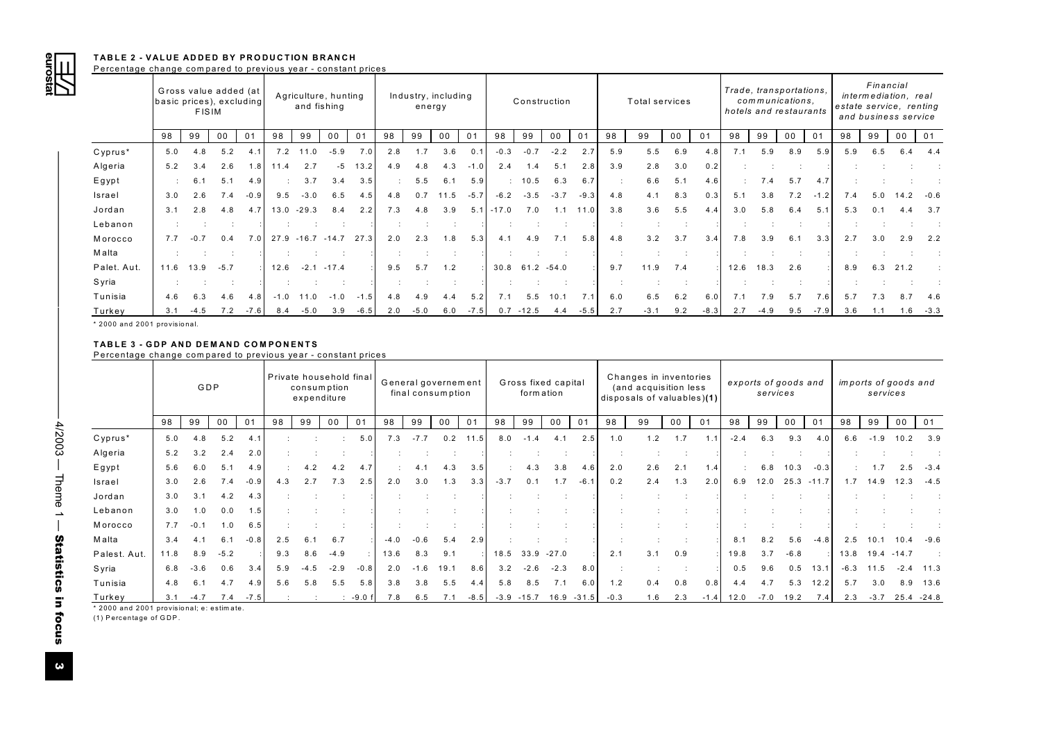

|                                                                                                             |       | <b>FISIM</b> | Gross value added (at<br>basic prices), excluding |        |      | and fishing   | Agriculture, hunting                   |        |                | Industry, including<br>energy |                      |                |         | Construction        |                      |        |           | Total services                                      |                      |        |        | Trade, transportations,<br>communications,<br>hotels and restaurants |                      |         |        | Financial<br>intermediation, real<br>estate service, renting<br>and business service |                                                  |                      |
|-------------------------------------------------------------------------------------------------------------|-------|--------------|---------------------------------------------------|--------|------|---------------|----------------------------------------|--------|----------------|-------------------------------|----------------------|----------------|---------|---------------------|----------------------|--------|-----------|-----------------------------------------------------|----------------------|--------|--------|----------------------------------------------------------------------|----------------------|---------|--------|--------------------------------------------------------------------------------------|--------------------------------------------------|----------------------|
|                                                                                                             | 98    | 99           | 00                                                | 01     | 98   | 99            | 00                                     | 01     | 98             | 99                            | 00                   | 01             | 98      | 99                  | 00                   | 01     | 98        | 99                                                  | $00\,$               | 01     | 98     | 99                                                                   | 00                   | 01      | 98     | 99                                                                                   | 0 <sub>0</sub>                                   |                      |
| Cyprus*                                                                                                     | $5.0$ | 4.8          | 5.2                                               | 4.1    |      | $7.2$ 11.0    | $-5.9$                                 | 7.0    | 2.8            | 1.7                           | 3.6                  | 0.1            | $-0.3$  | $-0.7$              | $-2.2$               | 2.7    | 5.9       | 5.5                                                 | 6.9                  | 4.8    | 7.1    | 5.9                                                                  | 8.9                  | 5.9     | 5.9    | 6.5                                                                                  | 6.4                                              |                      |
| Algeria                                                                                                     | 5.2   | 3.4          | 2.6                                               | 1.8    | 11.4 | 2.7           | $-5$                                   | 13.2   | 4.9            | 4.8                           | 4.3                  | $-1.0$         | 2.4     | 1.4                 | 5.1                  | 2.8    | 3.9       | 2.8                                                 | 3.0                  | 0.2    | ÷      |                                                                      |                      |         |        |                                                                                      |                                                  | $\ddot{\phantom{a}}$ |
| Egypt                                                                                                       |       | 6.1          | 5.1                                               | 4.9    |      | 3.7           | 3.4                                    | 3.5    |                | $5.5$                         | 6.1                  | 5.9            |         | 10.5                | 6.3                  | 6.7    | $\cdot$   | 6.6                                                 | 5.1                  | 4.6    |        | 7.4                                                                  | 5.7                  | 4.7     |        |                                                                                      |                                                  |                      |
| Israel                                                                                                      | 3.0   | 2.6          | 7.4                                               | $-0.9$ | 9.5  | $-3.0$        | 6.5                                    | 4.5    | 4.8            | 0.7                           | 11.5                 | $-5.7$         | $-6.2$  | $-3.5$              | $-3.7$               | $-9.3$ | 4.8       | 4.1                                                 | 8.3                  | 0.3    | 5.1    | 3.8                                                                  | 7.2                  | $-1.2$  | 7.4    | 5.0                                                                                  | 14.2                                             |                      |
| Jordan                                                                                                      | 3.1   | 2.8          | 4.8                                               | 4.7    |      | $13.0 - 29.3$ | 8.4                                    | 2.2    | 7.3            | 4.8                           | 3.9                  | 5.1            | $-17.0$ | 7.0                 | 1.1                  | 11.0   | 3.8       | 3.6                                                 | $5.5$                | 4.4    | 3.0    | 5.8                                                                  | 6.4                  | 5.1     | 5.3    | 0.1                                                                                  |                                                  |                      |
| Lebanon                                                                                                     |       |              |                                                   |        |      | $\cdot$ :     |                                        |        |                |                               |                      |                |         |                     |                      |        | $\cdot$   | $\cdot$ :                                           | $\ddot{\phantom{a}}$ |        | ÷      |                                                                      |                      |         |        | $\cdot$                                                                              |                                                  |                      |
| Morocco                                                                                                     | 7.7   | $-0.7$       | 0.4                                               | 7.0    |      |               | 27.9 -16.7 -14.7 27.3                  |        | 2.0            | 2.3                           | 1.8                  | 5.3            | 4.1     | 4.9                 | 7.1                  | 5.8    | 4.8       | 3.2                                                 | 3.7                  | 3.4    | 7.8    | 3.9                                                                  | 6.1                  | 3.3     | 2.7    | 3.0                                                                                  | 2.9                                              |                      |
| Malta                                                                                                       |       |              |                                                   |        |      |               |                                        |        |                |                               | $\ddot{\phantom{a}}$ |                |         |                     |                      |        | ÷         |                                                     |                      |        |        |                                                                      |                      |         |        |                                                                                      |                                                  |                      |
| Palet. Aut.                                                                                                 | 11.6  | 13.9         | $-5.7$                                            |        | 12.6 |               | $-2.1 - 17.4$                          |        | 9.5            | $5.7$                         | 1.2                  |                | 30.8    | $61.2 -54.0$        |                      |        | 9.7       | 11.9                                                | 7.4                  |        | 12.6   | 18.3                                                                 | 2.6                  |         | 8.9    | 6.3                                                                                  | 21.2                                             |                      |
| Syria                                                                                                       |       |              |                                                   |        |      |               |                                        |        |                |                               |                      |                |         |                     |                      |        | $\cdot$ : | ÷                                                   | $\ddot{\phantom{a}}$ |        |        |                                                                      |                      |         |        |                                                                                      |                                                  |                      |
| Tunisia                                                                                                     | 4.6   | 6.3          | 4.6                                               | 4.8    |      | $-1.0$ 11.0   | $-1.0$                                 | $-1.5$ | 4.8            | 4.9                           | 4.4                  | 5.2            | 7.1     | 5.5                 | 10.1                 | 7.1    | $6.0$     | $6.5\,$                                             | $6.2\,$              | $6.0$  | 7.1    | 7.9                                                                  | $5.7$                | 7.6     | 5.7    | 7.3                                                                                  | 8.7                                              |                      |
| Turkey                                                                                                      | 3.1   | $-4.5$       | 7.2                                               | $-7.6$ | 8.4  | $-5.0$        | 3.9                                    | $-6.5$ | 2.0            | $-5.0$                        | 6.0                  | $-7.5$         |         | $0.7 - 12.5$        | 4.4                  | $-5.5$ | 2.7       | $-3.1$                                              | 9.2                  | $-8.3$ | 2.7    | $-4.9$                                                               | 9.5                  | $-7.9$  | 3.6    | 1.1                                                                                  | 1.6                                              |                      |
|                                                                                                             |       | GDP          |                                                   |        |      |               | Private household final<br>consumption |        |                | General governement           |                      |                |         | Gross fixed capital |                      |        |           | Changes in inventories                              |                      |        |        | exports of goods and                                                 |                      |         |        | imports of goods and                                                                 |                                                  |                      |
| <b>TABLE 3 - GDP AND DEMAND COMPONENTS</b><br>Percentage change compared to previous year - constant prices |       |              |                                                   |        |      |               | expenditure                            |        |                | final consumption             |                      |                |         | formation           |                      |        |           | (and acquisition less<br>disposals of valuables)(1) |                      |        |        | services                                                             |                      |         |        | services                                                                             |                                                  |                      |
|                                                                                                             | 98    | 99           | 00                                                | 01     | 98   | 99            | 0 <sub>0</sub>                         | 01     | 98             | 99                            | 00                   | 0 <sub>1</sub> | 98      | 99                  | 00                   | 01     | 98        | 99                                                  | 00                   | 01     | 98     | 99                                                                   | 00                   | 01      | 98     | 99                                                                                   | 00                                               |                      |
| Cyprus*                                                                                                     | $5.0$ | 4.8          | 5.2                                               | 4.1    |      |               |                                        | $5.0$  | 7.3            | $-7.7$                        | 0.2                  | 11.5           | 8.0     | $-1.4$              | 4.1                  | 2.5    | 1.0       | 1.2                                                 | 1.7                  | 1.1    | $-2.4$ | 6.3                                                                  | 9.3                  | 4.0     | 6.6    | $-1.9$                                                                               |                                                  |                      |
| Algeria                                                                                                     | 5.2   | 3.2          | 2.4                                               | 2.0    |      | $\cdot$ :     |                                        |        |                |                               |                      |                |         |                     | $\ddot{\phantom{1}}$ |        | $\cdot$ : | - 1                                                 |                      |        | ÷      | $\ddot{\phantom{a}}$                                                 |                      |         |        | $\therefore$                                                                         |                                                  |                      |
| Egypt                                                                                                       | 5.6   | 6.0          | 5.1                                               | 4.9    |      | 4.2           | 4.2                                    | 4.7    |                | 4.1                           | 4.3                  | 3.5            |         | 4.3                 | 3.8                  | 4.6    | 2.0       | 2.6                                                 | 2.1                  | 1.4    |        | 6.8                                                                  | 10.3                 | $-0.3$  |        | 1.7                                                                                  |                                                  |                      |
| Israel                                                                                                      | 3.0   | 2.6          | 7.4                                               | $-0.9$ | 4.3  | 2.7           | 7.3                                    | 2.5    | 2.0            | 3.0                           | 1.3                  | 3.3            | $-3.7$  | 0.1                 | 1.7                  | $-6.1$ | 0.2       | 2.4                                                 | 1.3                  | 2.0    | 6.9    | 12.0                                                                 | 25.3                 | $-11.7$ | 1.7    | 14.9                                                                                 |                                                  |                      |
| Jordan                                                                                                      | 3.0   | 3.1          | 4.2                                               | 4.3    |      |               |                                        |        |                |                               |                      |                |         |                     |                      |        |           |                                                     |                      |        |        |                                                                      |                      |         |        |                                                                                      |                                                  |                      |
| Lebanon                                                                                                     | 3.0   | 1.0          | 0.0                                               | 1.5    | ÷    | ÷.            |                                        |        | $\overline{1}$ |                               | $\therefore$         |                |         |                     | $\ddot{\phantom{a}}$ |        |           |                                                     | ÷                    |        |        |                                                                      | $\ddot{\phantom{a}}$ |         |        |                                                                                      |                                                  |                      |
| Morocco                                                                                                     | 7.7   | $-0.1$       | 1.0                                               | 6.5    |      |               |                                        |        |                |                               |                      |                |         |                     |                      |        |           |                                                     |                      |        |        |                                                                      |                      |         |        |                                                                                      |                                                  |                      |
| Malta                                                                                                       | 3.4   | 4.1          | 6.1                                               | $-0.8$ | 2.5  | 6.1           | 6.7                                    |        | $-4.0$         | $-0.6$                        | 5.4                  | 2.9            |         |                     |                      |        | $\pm$     | ÷                                                   | ÷                    |        | 8.1    | 8.2                                                                  | 5.6                  | $-4.8$  | $2.5$  | 10.1                                                                                 |                                                  |                      |
| Palest. Aut.                                                                                                | 11.8  | 8.9          | $-5.2$                                            |        | 9.3  | 8.6           | $-4.9$                                 |        | 13.6           | 8.3                           | 9.1                  |                | 18.5    | 33.9                | $-27.0$              |        | 2.1       | 3.1                                                 | 0.9                  |        | 19.8   | 3.7                                                                  | $-6.8$               |         | 13.8   | 19.4                                                                                 |                                                  |                      |
| Syria                                                                                                       | 6.8   | $-3.6$       | 0.6                                               | 3.4    | 5.9  | $-4.5$        | $-2.9$                                 | $-0.8$ | 2.0            | $-1.6$                        | 19.1                 | 8.6            | 3.2     | $-2.6$              | $-2.3$               | 8.0    | $\cdot$ : | $\cdot$ :                                           | ÷                    |        | 0.5    | 9.6                                                                  | 0.5                  | 13.1    | $-6.3$ | 11.5                                                                                 | 10.2<br>2.5<br>12.3<br>10.4<br>$-14.7$<br>$-2.4$ |                      |
| Tunisia                                                                                                     | 4.8   | 6.1          | 4.7                                               | 4.9    | 5.6  | 5.8           | 5.5                                    | 5.8    | 3.8            | 3.8                           | 5.5                  | 4.4            | 5.8     | 8.5                 | 7.1                  | 6.0    | 1.2       | 0.4                                                 | 0.8                  | 0.8    | 4.4    | 4.7                                                                  | 5.3                  | 12.2    | 5.7    | 3.0                                                                                  | 8.9                                              |                      |
|                                                                                                             |       |              |                                                   |        |      |               |                                        |        |                |                               |                      |                |         |                     |                      |        |           |                                                     |                      |        |        |                                                                      |                      |         |        |                                                                                      |                                                  |                      |

|              | Private household final<br>GDP<br>consumption<br>expenditure |        |        |        |     | General governement<br>final consumption |                |                |        |        | Gross fixed capital<br>form ation |        |        | Changes in inventories<br>(and acquisition less<br>disposals of valuables)(1) |                          |                |        | services | exports of goods and |        |        | services | imports of goods and |        |        |                 |        |         |
|--------------|--------------------------------------------------------------|--------|--------|--------|-----|------------------------------------------|----------------|----------------|--------|--------|-----------------------------------|--------|--------|-------------------------------------------------------------------------------|--------------------------|----------------|--------|----------|----------------------|--------|--------|----------|----------------------|--------|--------|-----------------|--------|---------|
|              | 98                                                           | 99     | 00     | 01     | 98  | 99                                       | 0 <sup>0</sup> | 0 <sub>1</sub> | 98     | 99     | 00                                | 01     | 98     | 99                                                                            | 00                       | 0 <sub>1</sub> | 98     | 99       | 00                   | 01     | 98     | 99       | 00                   | 01     | 98     | 99              | 00     | 01      |
| Cyprus*      | 5.0                                                          | 4.8    | 5.2    | 4.1    |     |                                          |                | 5.0            | 7.3    | $-7.7$ | 0.2                               | 11.5   | 8.0    | $-1.4$                                                                        | 4.1                      | 2.5            | 1.0    | 1.2      | 1.7                  | 1.1    | $-2.4$ | 6.3      | 9.3                  | 4.0    | 6.6    | $-1.9$          | 10.2   | 3.9     |
| Algeria      | 5.2                                                          | 3.2    | 2.4    | 2.0    |     |                                          |                |                |        |        |                                   |        |        |                                                                               | $\overline{\phantom{a}}$ |                | $\sim$ |          |                      |        |        |          |                      |        |        |                 |        |         |
| Egypt        | 5.6                                                          | 6.0    | 5.1    | 4.9    |     | 4.2                                      | 4.2            | 4.7            |        | 4.1    | 4.3                               | 3.5    |        | 4.3                                                                           | 3.8                      | 4.6            | 2.0    | 2.6      | 2.1                  | 1.4    |        | 6.8      | 10.3                 | $-0.3$ |        | 1.7             | 2.5    | $-3.4$  |
| Israel       | 3.0                                                          | 2.6    | 7.4    | $-0.9$ | 4.3 | 2.7                                      | 7.3            | 2.5            | 2.0    | 3.0    | 1.3                               | 3.3    | $-3.7$ | 0.1                                                                           | 1.7                      | $-6.1$         | 0.2    | 2.4      | 1.3                  | 2.0    | 6.9    | 12.0     | $25.3 - 11.7$        |        | 1.7    | 14.9            | 12.3   | $-4.5$  |
| Jordan       | 3.0                                                          | 3.1    | 4.2    | 4.3    |     |                                          |                |                |        |        |                                   |        |        |                                                                               |                          |                |        |          |                      |        |        |          |                      |        |        |                 |        |         |
| Lebanon      | 3.0                                                          | 1.0    | 0.0    | 1.5    |     |                                          |                |                |        |        |                                   |        |        |                                                                               |                          |                |        |          |                      |        |        |          |                      |        |        |                 |        |         |
| Morocco      | 7.7                                                          | $-0.1$ | 1.0    | 6.5    |     |                                          |                |                |        |        |                                   |        |        |                                                                               |                          |                |        |          |                      |        |        |          |                      |        |        |                 |        |         |
| Malta        | 3.4                                                          | 4.1    | 6.1    | $-0.8$ | 2.5 | 6.1                                      | 6.7            |                | $-4.0$ | $-0.6$ | 5.4                               | 2.9    |        |                                                                               |                          |                |        |          |                      |        | 8.1    | 8.2      | 5.6                  | $-4.8$ | 2.5    | 10.1            | 10.4   | $-9.6$  |
| Palest. Aut. | 11.8                                                         | 8.9    | $-5.2$ |        | 9.3 | 8.6                                      | $-4.9$         |                | 13.6   | 8.3    | 9.1                               |        | 18.5   |                                                                               | $33.9 - 27.0$            |                | 2.1    | 3.1      | 0.9                  |        | 19.8   | 3.7      | $-6.8$               |        |        | 13.8 19.4 -14.7 |        |         |
| Syria        | 6.8                                                          | $-3.6$ | 0.6    | 3.4    | 5.9 | $-4.5$                                   | $-2.9$         | $-0.8$         | 2.0    | $-1.6$ | 19.1                              | 8.6    | 3.2    | $-2.6$                                                                        | $-2.3$                   | 8.0            |        |          |                      |        | 0.5    | 9.6      | 0.5                  | 13.1   | $-6.3$ | 11.5            | $-2.4$ | 11.3    |
| Tunisia      | 4.8                                                          | 6.1    | 4.7    | 4.9    | 5.6 | 5.8                                      | 5.5            | 5.8            | 3.8    | 3.8    | 5.5                               | 4.4    | 5.8    | 8.5                                                                           | 7.1                      | 6.0            | 1.2    | 0.4      | 0.8                  | 0.8    | 4.4    | 4.7      | 5.3                  | 12.2   | 5.7    | 3.0             | 8.9    | 13.6    |
| Turkey       | 3.1                                                          | $-4.7$ | 7.4    | $-7.5$ |     |                                          |                | $-9.0 f$       | 7.8    | 6.5    |                                   | $-8.5$ | $-3.9$ | $-15.7$                                                                       | 16.9                     | $-31.5$        | $-0.3$ | 1.6      | 2.3                  | $-1.4$ | 12.0   | $-7.0$   | 19.2                 | 7.4    | 2.3    | $-3.7$          | 25.4   | $-24.8$ |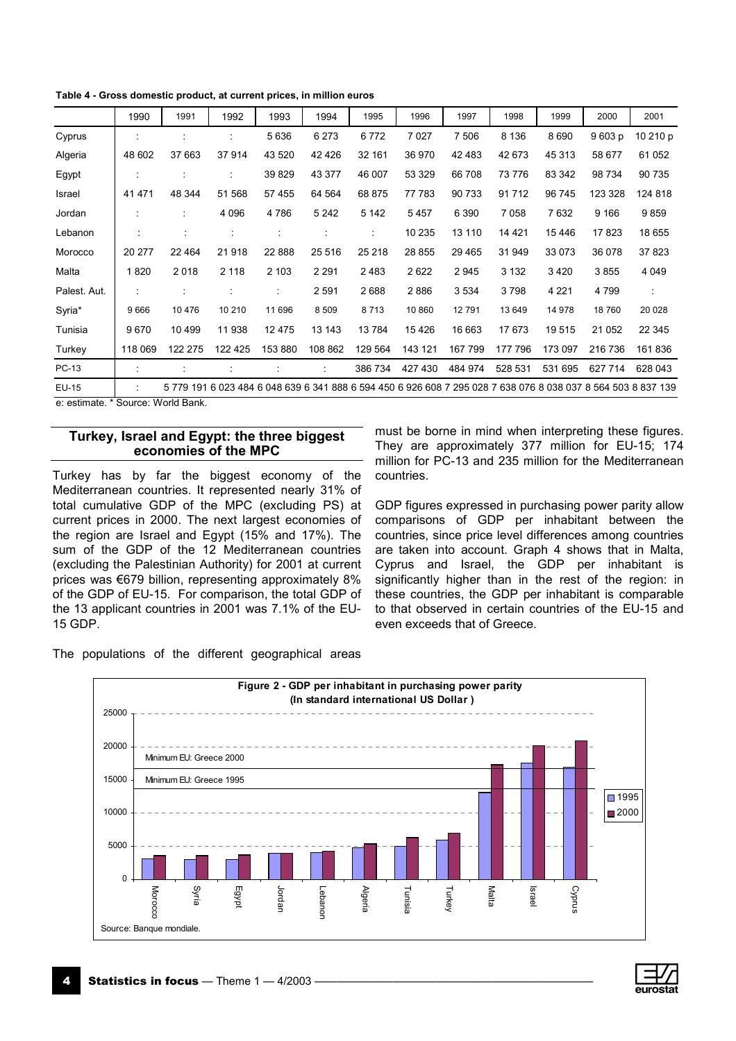**Table 4 - Gross domestic product, at current prices, in million euros**

|              | 1990    | 1991    | 1992    | 1993     | 1994                                | 1995    | 1996                                                                                                          | 1997    | 1998    | 1999    | 2000    | 2001     |
|--------------|---------|---------|---------|----------|-------------------------------------|---------|---------------------------------------------------------------------------------------------------------------|---------|---------|---------|---------|----------|
| Cyprus       |         |         |         | 5636     | 6 2 7 3                             | 6772    | 7027                                                                                                          | 7 506   | 8 1 3 6 | 8690    | 9603 p  | 10 210 p |
| Algeria      | 48 602  | 37 663  | 37914   | 43 5 20  | 42 4 26                             | 32 161  | 36 970                                                                                                        | 42 483  | 42 673  | 45 313  | 58 677  | 61 052   |
| Egypt        |         |         |         | 39 829   | 43 377                              | 46 007  | 53 329                                                                                                        | 66 708  | 73 776  | 83 342  | 98 734  | 90 735   |
| Israel       | 41 471  | 48 344  | 51 568  | 57 455   | 64 564                              | 68 875  | 77 783                                                                                                        | 90 733  | 91712   | 96 745  | 123 328 | 124 818  |
| Jordan       |         |         | 4 0 9 6 | 4786     | 5 2 4 2                             | 5 1 4 2 | 5457                                                                                                          | 6 3 9 0 | 7058    | 7632    | 9 1 6 6 | 9859     |
| Lebanon      | $\cdot$ |         |         |          | $\cdot$<br>$\overline{\phantom{a}}$ | t       | 10 235                                                                                                        | 13 110  | 14 4 21 | 15446   | 17823   | 18 655   |
| Morocco      | 20 277  | 22 4 64 | 21918   | 22 8 8 8 | 25 516                              | 25 218  | 28 855                                                                                                        | 29 4 65 | 31 949  | 33 073  | 36 078  | 37823    |
| Malta        | 1820    | 2018    | 2 1 1 8 | 2 103    | 2 2 9 1                             | 2483    | 2622                                                                                                          | 2945    | 3 1 3 2 | 3420    | 3855    | 4 0 4 9  |
| Palest. Aut. |         |         |         | ٠        | 2 5 9 1                             | 2688    | 2886                                                                                                          | 3 5 3 4 | 3798    | 4 2 2 1 | 4 7 9 9 | ÷        |
| Syria*       | 9 6 6 6 | 10476   | 10 210  | 11 696   | 8 5 0 9                             | 8713    | 10 860                                                                                                        | 12791   | 13 649  | 14 978  | 18760   | 20 0 28  |
| Tunisia      | 9670    | 10 499  | 11 938  | 12 475   | 13 143                              | 13784   | 15426                                                                                                         | 16 663  | 17673   | 19515   | 21 052  | 22 345   |
| Turkey       | 118 069 | 122 275 | 122 425 | 153 880  | 108 862                             | 129 564 | 143 121                                                                                                       | 167 799 | 177 796 | 173 097 | 216 736 | 161836   |
| PC-13        | ÷       |         |         |          | ÷                                   | 386 734 | 427 430                                                                                                       | 484 974 | 528 531 | 531 695 | 627 714 | 628 043  |
| EU-15        |         |         |         |          |                                     |         | 5 779 191 6 023 484 6 048 639 6 341 888 6 594 450 6 926 608 7 295 028 7 638 076 8 038 037 8 564 503 8 837 139 |         |         |         |         |          |

e: estimate. \* Source: World Bank.

#### **Turkey, Israel and Egypt: the three biggest economies of the MPC**

Turkey has by far the biggest economy of the Mediterranean countries. It represented nearly 31% of total cumulative GDP of the MPC (excluding PS) at current prices in 2000. The next largest economies of the region are Israel and Egypt (15% and 17%). The sum of the GDP of the 12 Mediterranean countries (excluding the Palestinian Authority) for 2001 at current prices was  $\epsilon$ 679 billion, representing approximately 8% of the GDP of EU-15. For comparison, the total GDP of the 13 applicant countries in 2001 was 7.1% of the EU-15 GDP.

The populations of the different geographical areas

must be borne in mind when interpreting these figures. They are approximately 377 million for EU-15; 174 million for PC-13 and 235 million for the Mediterranean countries.

GDP figures expressed in purchasing power parity allow comparisons of GDP per inhabitant between the countries, since price level differences among countries are taken into account. Graph 4 shows that in Malta, Cyprus and Israel, the GDP per inhabitant is significantly higher than in the rest of the region: in these countries, the GDP per inhabitant is comparable to that observed in certain countries of the EU-15 and even exceeds that of Greece.



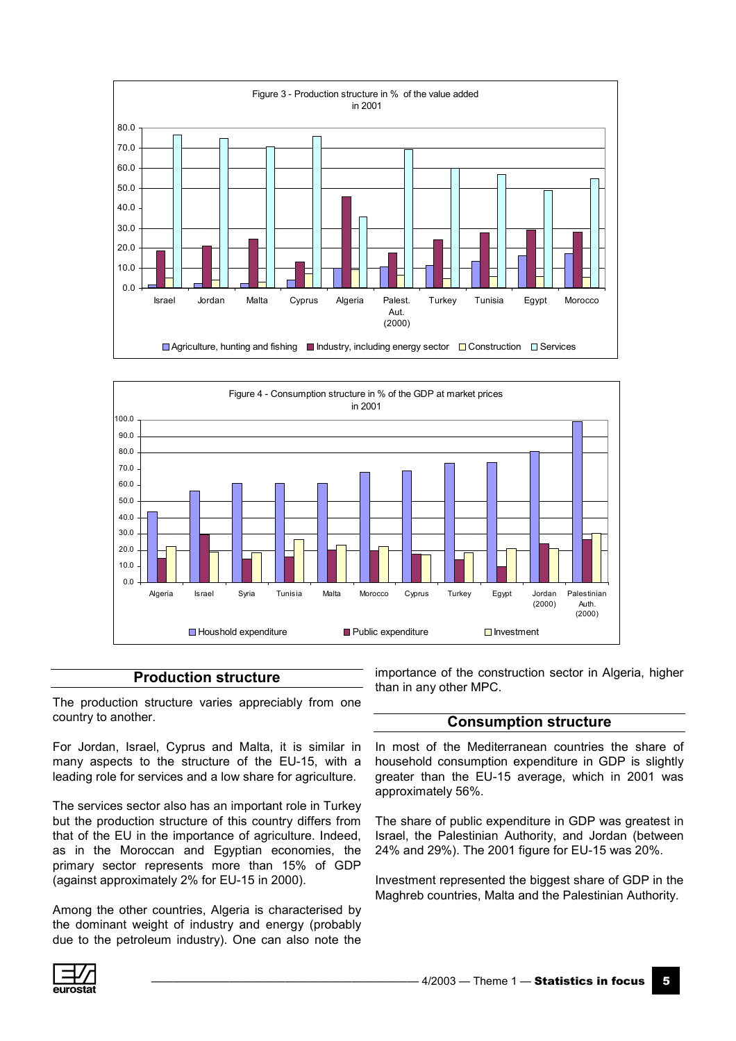



#### **Production structure**

The production structure varies appreciably from one country to another.

For Jordan, Israel, Cyprus and Malta, it is similar in many aspects to the structure of the EU-15, with a leading role for services and a low share for agriculture.

The services sector also has an important role in Turkey but the production structure of this country differs from that of the EU in the importance of agriculture. Indeed, as in the Moroccan and Egyptian economies, the primary sector represents more than 15% of GDP (against approximately 2% for EU-15 in 2000).

Among the other countries, Algeria is characterised by the dominant weight of industry and energy (probably due to the petroleum industry). One can also note the importance of the construction sector in Algeria, higher than in any other MPC.

### **Consumption structure**

In most of the Mediterranean countries the share of household consumption expenditure in GDP is slightly greater than the EU-15 average, which in 2001 was approximately 56%.

The share of public expenditure in GDP was greatest in Israel, the Palestinian Authority, and Jordan (between 24% and 29%). The 2001 figure for EU-15 was 20%.

Investment represented the biggest share of GDP in the Maghreb countries, Malta and the Palestinian Authority.

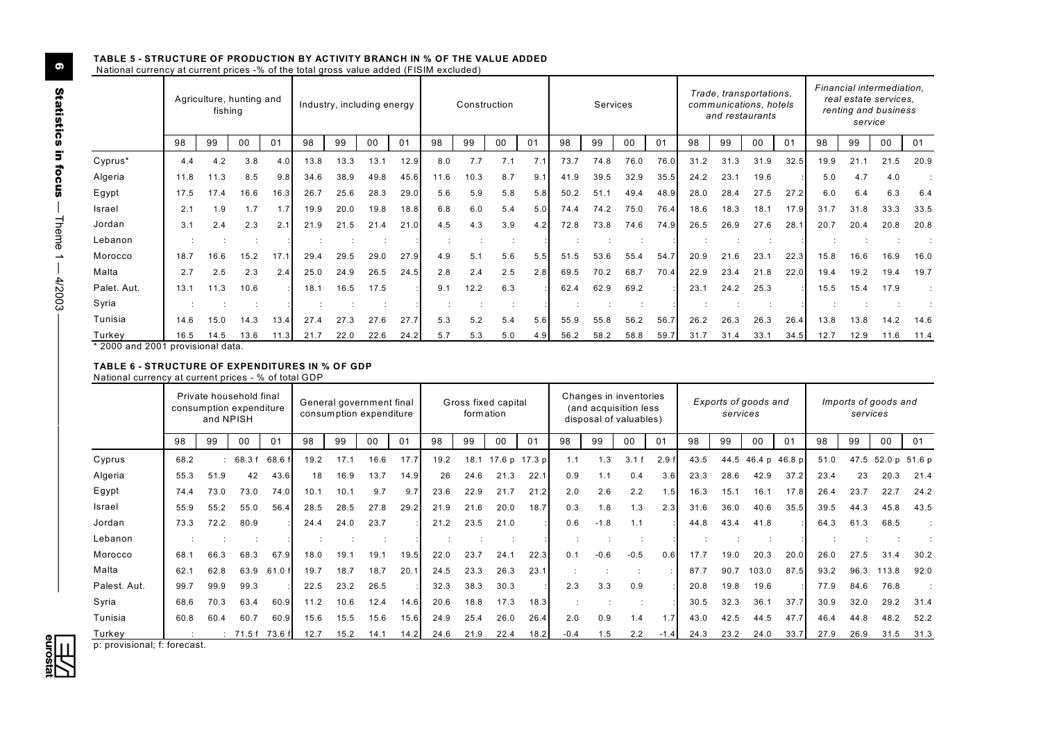#### **TABLE 5 - STRUCTURE OF PRODUCTION BY ACTIVITY BRANCH IN % OF THE VALUE ADDED**  National currency at current prices -% of the total gross value added (FISIM excluded)

|             |      | Agriculture, hunting and<br>fishing |      |      |      | Industry, including energy |      |      |      |      | Construction |                |      | Services |      |      |      |      | Trade, transportations,<br>communications, hotels<br>and restaurants |      |      | service | Financial intermediation,<br>real estate services.<br>renting and business |      |
|-------------|------|-------------------------------------|------|------|------|----------------------------|------|------|------|------|--------------|----------------|------|----------|------|------|------|------|----------------------------------------------------------------------|------|------|---------|----------------------------------------------------------------------------|------|
|             | 98   | 99                                  | 00   | 01   | 98   | 99                         | 00   | 01   | 98   | 99   | 00           | 0 <sub>1</sub> | 98   | 99       | 00   | 01   | 98   | 99   | 00                                                                   | 01   | 98   | 99      | 00                                                                         | 01   |
| Cyprus*     | 4.4  | 4.2                                 | 3.8  | 4.0  | 13.8 | 13.3                       | 13.1 | 12.9 | 8.0  | 7.7  | 7.1          | 7.1            | 73.7 | 74.8     | 76.0 | 76.0 | 31.2 | 31.3 | 31.9                                                                 | 32.5 | 19.9 | 21.1    | 21.5                                                                       | 20.9 |
| Algeria     | 11.8 | 11.3                                | 8.5  | 9.8  | 34.6 | 38.9                       | 49.8 | 45.6 | 11.6 | 10.3 | 8.7          | 9.1            | 41.9 | 39.5     | 32.9 | 35.5 | 24.2 | 23.1 | 19.6                                                                 |      | 5.0  | 4.7     | 4.0                                                                        |      |
| Egypt       | 17.5 | 17.4                                | 16.6 | 16.3 | 26.7 | 25.6                       | 28.3 | 29.0 | 5.6  | 5.9  | 5.8          | 5.8            | 50.2 | 51.7     | 49.4 | 48.9 | 28.0 | 28.4 | 27.5                                                                 | 27.2 | 6.0  | 6.4     | 6.3                                                                        | 6.4  |
| Israel      | 2.1  | 1.9                                 | 1.7  | 1.7  | 19.9 | 20.0                       | 19.8 | 18.8 | 6.8  | 6.0  | 5.4          | 5.0            | 74.4 | 74.2     | 75.0 | 76.4 | 18.6 | 18.3 | 18.1                                                                 | 17.9 | 31.7 | 31.8    | 33.3                                                                       | 33.5 |
| Jordan      | 3.1  | 2.4                                 | 2.3  | 2.1  | 21.9 | 21.5                       | 21.4 | 21.0 | 4.5  | 4.3  | 3.9          | 4.2            | 72.8 | 73.8     | 74.6 | 74.9 | 26.5 | 26.9 | 27.6                                                                 | 28.7 | 20.7 | 20.4    | 20.8                                                                       | 20.8 |
| Lebanon     |      |                                     |      |      |      |                            |      |      |      |      |              |                |      |          |      |      |      |      |                                                                      |      |      |         |                                                                            |      |
| Morocco     | 18.7 | 16.6                                | 15.2 | 17.1 | 29.4 | 29.5                       | 29.0 | 27.9 | 4.9  | 5.1  | 5.6          | 5.5            | 51.5 | 53.6     | 55.4 | 54.7 | 20.9 | 21.6 | 23.1                                                                 | 22.3 | 15.8 | 16.6    | 16.9                                                                       | 16.0 |
| Malta       | 2.7  | 2.5                                 | 2.3  | 2.4  | 25.0 | 24.9                       | 26.5 | 24.5 | 2.8  | 2.4  | 2.5          | 2.8            | 69.5 | 70.2     | 68.7 | 70.4 | 22.9 | 23.4 | 21.8                                                                 | 22.0 | 19.4 | 19.2    | 19.4                                                                       | 19.7 |
| Palet. Aut. | 13.1 | 11.3                                | 10.6 |      | 18.1 | 16.5                       | 17.5 |      | 9.1  | 12.2 | 6.3          |                | 62.4 | 62.9     | 69.2 |      | 23.1 | 24.2 | 25.3                                                                 |      | 15.5 | 15.4    | 17.9                                                                       |      |
| Syria       |      |                                     |      |      |      |                            |      |      |      |      |              |                |      |          |      |      |      |      |                                                                      |      |      |         |                                                                            |      |
| Tunisia     | 14.6 | 15.0                                | 14.3 | 13.4 | 27.4 | 27.3                       | 27.6 | 27.7 | 5.3  | 5.2  | 5.4          | 5.6            | 55.9 | 55.8     | 56.2 | 56.7 | 26.2 | 26.3 | 26.3                                                                 | 26.4 | 13.8 | 13.8    | 14.2                                                                       | 14.6 |
| Turkey      | 16.5 | 14.5                                | 13.6 | 11.3 | 21.7 | 22.0                       | 22.6 | 24.2 | 5.7  | 5.3  | 5.0          | 4.9            | 56.2 | 58.2     | 58.8 | 59.7 | 31.7 | 31.4 | 33.1                                                                 | 34.5 | 12.7 | 12.9    | 11.6                                                                       | 11.4 |

\* 2000 and 2001 provisional data.

#### **TABLE 6 - STRUCTURE OF EXPENDITURES IN % OF GDP**

National currency at current prices - % of total GDP

|              |      | and NPISH | Private household final | General government final<br>consumption expenditure<br>consumption expenditure |      |      |      |      |      | formation | Gross fixed capital |                |        |        | Changes in inventories<br>(and acquisition less<br>disposal of valuables) |        |      | services | Exports of goods and |                    |      | services | Imports of goods and |       |
|--------------|------|-----------|-------------------------|--------------------------------------------------------------------------------|------|------|------|------|------|-----------|---------------------|----------------|--------|--------|---------------------------------------------------------------------------|--------|------|----------|----------------------|--------------------|------|----------|----------------------|-------|
|              | 98   | 99        | 00                      | 0 <sub>1</sub>                                                                 | 98   | 99   | 00   | 01   | 98   | 99        | 00                  | 0 <sub>1</sub> | 98     | 99     | 00                                                                        | 01     | 98   | 99       | 00                   | 01                 | 98   | 99       | 00                   | 01    |
| Cyprus       | 68.2 |           | 68.3 f                  | 68.6 f                                                                         | 19.2 | 17.1 | 16.6 | 17.7 | 19.2 | 18.1      |                     | 17.6 p 17.3 p  | 1.1    | 1.3    | 3.1 f                                                                     | 2.9f   | 43.5 |          |                      | 44.5 46.4 p 46.8 p | 51.0 |          | 47.5 52.0 p          | 51.6p |
| Algeria      | 55.3 | 51.9      | 42                      | 43.6                                                                           | 18   | 16.9 | 13.7 | 14.9 | 26   | 24.6      | 21.3                | 22.1           | 0.9    | 1.1    | 0.4                                                                       | 3.6    | 23.3 | 28.6     | 42.9                 | 37.2               | 23.4 | 23       | 20.3                 | 21.4  |
| Egypt        | 74.4 | 73.0      | 73.0                    | 74.0                                                                           | 10.1 | 10.1 | 9.7  | 9.7  | 23.6 | 22.9      | 21.7                | 21.2           | 2.0    | 2.6    | 2.2                                                                       | .5     | 16.3 | 15.1     | 16.1                 | 17.8               | 26.4 | 23.7     | 22.7                 | 24.2  |
| Israel       | 55.9 | 55.2      | 55.0                    | 56.4                                                                           | 28.5 | 28.5 | 27.8 | 29.2 | 21.9 | 21.6      | 20.0                | 18.7           | 0.3    | 1.8    | 1.3                                                                       | 2.3    | 31.6 | 36.0     | 40.6                 | 35.5               | 39.5 | 44.3     | 45.8                 | 43.5  |
| Jordan       | 73.3 | 72.2      | 80.9                    |                                                                                | 24.4 | 24.0 | 23.7 |      | 21.2 | 23.5      | 21.0                |                | 0.6    | $-1.8$ | 1.1                                                                       |        | 44.8 | 43.4     | 41.8                 |                    | 64.3 | 61.3     | 68.5                 |       |
| Lebanon      |      |           |                         |                                                                                |      |      |      |      |      |           |                     |                |        |        |                                                                           |        |      |          |                      |                    |      |          |                      |       |
| Morocco      | 68.1 | 66.3      | 68.3                    | 67.9                                                                           | 18.0 | 19.1 | 19.1 | 19.5 | 22.0 | 23.7      | 24.1                | 22.3           | 0.1    | $-0.6$ | $-0.5$                                                                    | 0.6    | 17.7 | 19.0     | 20.3                 | 20.0               | 26.0 | 27.5     | 31.4                 | 30.2  |
| Malta        | 62.1 | 62.8      | 63.9                    | 61.0 f                                                                         | 19.7 | 18.7 | 18.7 | 20.1 | 24.5 | 23.3      | 26.3                | 23.1           |        |        |                                                                           |        | 87.7 | 90.7     | 103.0                | 87.5               | 93.2 | 96.3     | 113.8                | 92.0  |
| Palest. Aut. | 99.7 | 99.9      | 99.3                    |                                                                                | 22.5 | 23.2 | 26.5 |      | 32.3 | 38.3      | 30.3                |                | 2.3    | 3.3    | 0.9                                                                       |        | 20.8 | 19.8     | 19.6                 |                    | 77.9 | 84.6     | 76.8                 |       |
| Syria        | 68.6 | 70.3      | 63.4                    | 60.9                                                                           | 11.2 | 10.6 | 12.4 | 14.6 | 20.6 | 18.8      | 17.3                | 18.3           |        |        |                                                                           |        | 30.5 | 32.3     | 36.1                 | 37.7               | 30.9 | 32.0     | 29.2                 | 31.4  |
| Tunisia      | 60.8 | 60.4      | 60.7                    | 60.9                                                                           | 15.6 | 15.5 | 15.6 | 15.6 | 24.9 | 25.4      | 26.0                | 26.4           | 2.0    | 0.9    | 1.4                                                                       | 1.7    | 43.0 | 42.5     | 44.5                 | 47.7               | 46.4 | 44.8     | 48.2                 | 52.2  |
| Turkey       |      |           | 71.5 f                  | 73.6 fl                                                                        | 12.7 | 15.2 | 14.1 | 14.2 | 24.6 | 21.9      | 22.4                | 18.2           | $-0.4$ | 1.5    | 2.2                                                                       | $-1.4$ | 24.3 | 23.2     | 24.0                 | 33.7               | 27.9 | 26.9     | 31.5                 | 31.3  |

p: provisional; f: forecast.

ó Theme 1 ó 4/2003 óóóóóóóóóóóóóóóóóóóóóóóóó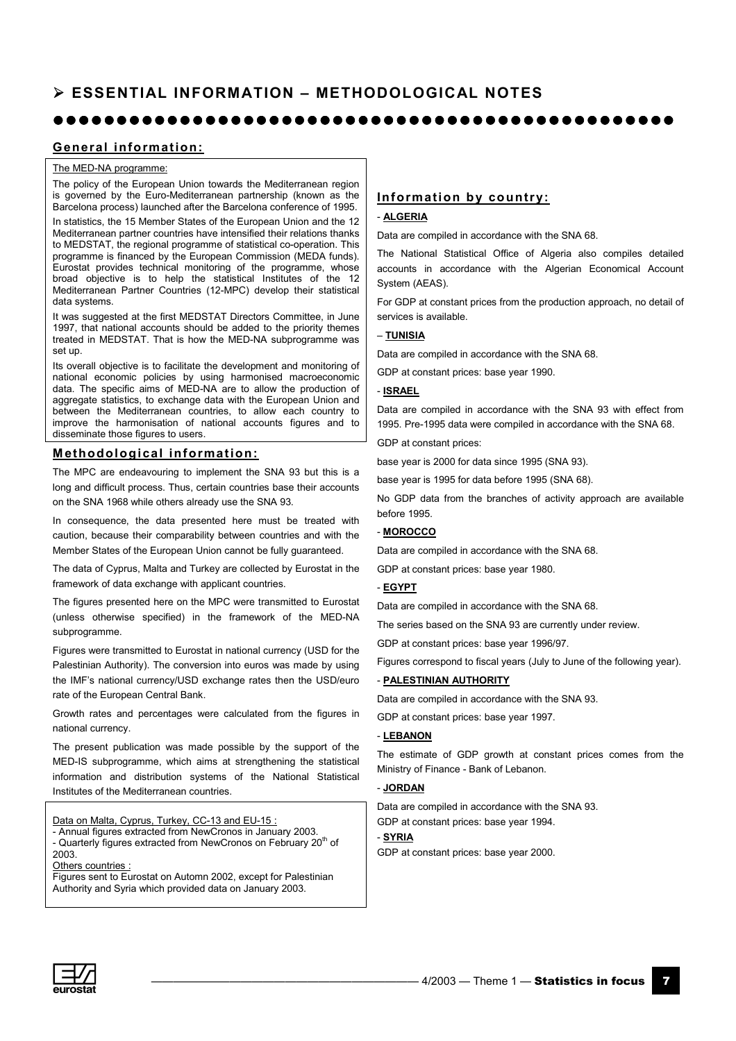#### $\bullet$  $\bullet$  $\bullet$  $\bullet$  $\bullet$  $\bullet$  $\bullet$  $\bullet$  $\bullet$  $\bullet$  $\bullet$  $\bullet$  $\bullet$  $\bullet$  $\bullet$  $\bullet$  $\bullet$  $\bullet$  $\bullet$  $\bullet$  $\bullet$  $\bullet$  $\bullet$  $\bullet$  $\bullet$  $\bullet$  $\bullet$  $\bullet$  $\bullet$  $\bullet$  $\bullet$  $\bullet$  $\bullet$  $\bullet$  $\bullet$  $\bullet$  $\bullet$  $\bullet$  $\bullet$  $\bullet$  $\bullet$  $\bullet$  $\bullet$  $\bullet$  $\bullet$  $\bullet$  $\bullet$  $\bullet$  $\bullet$

#### **General information:**

#### The MED-NA programme:

The policy of the European Union towards the Mediterranean region is governed by the Euro-Mediterranean partnership (known as the Barcelona process) launched after the Barcelona conference of 1995.

In statistics, the 15 Member States of the European Union and the 12 Mediterranean partner countries have intensified their relations thanks to MEDSTAT, the regional programme of statistical co-operation. This programme is financed by the European Commission (MEDA funds). Eurostat provides technical monitoring of the programme, whose broad objective is to help the statistical Institutes of the 12 Mediterranean Partner Countries (12-MPC) develop their statistical data systems.

It was suggested at the first MEDSTAT Directors Committee, in June 1997, that national accounts should be added to the priority themes treated in MEDSTAT. That is how the MED-NA subprogramme was set up.

Its overall objective is to facilitate the development and monitoring of national economic policies by using harmonised macroeconomic data. The specific aims of MED-NA are to allow the production of aggregate statistics, to exchange data with the European Union and between the Mediterranean countries, to allow each country to improve the harmonisation of national accounts figures and to disseminate those figures to users.

#### **Methodological information:**

The MPC are endeavouring to implement the SNA 93 but this is a long and difficult process. Thus, certain countries base their accounts on the SNA 1968 while others already use the SNA 93.

In consequence, the data presented here must be treated with caution, because their comparability between countries and with the Member States of the European Union cannot be fully guaranteed.

The data of Cyprus, Malta and Turkey are collected by Eurostat in the framework of data exchange with applicant countries.

The figures presented here on the MPC were transmitted to Eurostat (unless otherwise specified) in the framework of the MED-NA subprogramme.

Figures were transmitted to Eurostat in national currency (USD for the Palestinian Authority). The conversion into euros was made by using the IMF's national currency/USD exchange rates then the USD/euro rate of the European Central Bank.

Growth rates and percentages were calculated from the figures in national currency.

The present publication was made possible by the support of the MED-IS subprogramme, which aims at strengthening the statistical information and distribution systems of the National Statistical Institutes of the Mediterranean countries.

Data on Malta, Cyprus, Turkey, CC-13 and EU-15 : - Annual figures extracted from NewCronos in January 2003.

- Quarterly figures extracted from NewCronos on February 20<sup>th</sup> of 2003. Others countries

Figures sent to Eurostat on Automn 2002, except for Palestinian Authority and Syria which provided data on January 2003.

#### **Information by country:**

#### - **ALGERIA**

Data are compiled in accordance with the SNA 68.

The National Statistical Office of Algeria also compiles detailed accounts in accordance with the Algerian Economical Account System (AEAS).

For GDP at constant prices from the production approach, no detail of services is available.

#### ñ **TUNISIA**

Data are compiled in accordance with the SNA 68.

GDP at constant prices: base year 1990.

#### - **ISRAEL**

Data are compiled in accordance with the SNA 93 with effect from 1995. Pre-1995 data were compiled in accordance with the SNA 68.

GDP at constant prices:

base year is 2000 for data since 1995 (SNA 93).

base year is 1995 for data before 1995 (SNA 68).

No GDP data from the branches of activity approach are available before 1995.

#### - **MOROCCO**

Data are compiled in accordance with the SNA 68.

GDP at constant prices: base year 1980.

#### - **EGYPT**

Data are compiled in accordance with the SNA 68.

The series based on the SNA 93 are currently under review.

GDP at constant prices: base year 1996/97.

Figures correspond to fiscal years (July to June of the following year).

#### - **PALESTINIAN AUTHORITY**

Data are compiled in accordance with the SNA 93.

GDP at constant prices: base year 1997.

#### - **LEBANON**

The estimate of GDP growth at constant prices comes from the Ministry of Finance - Bank of Lebanon.

#### - **JORDAN**

Data are compiled in accordance with the SNA 93.

GDP at constant prices: base year 1994.

#### - **SYRIA**

GDP at constant prices: base year 2000.